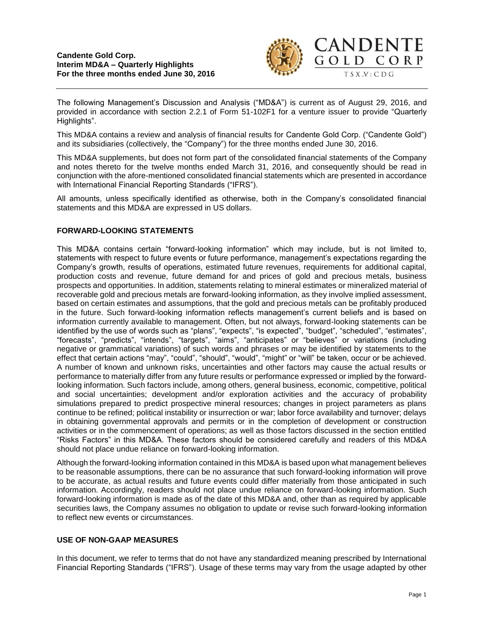

The following Management's Discussion and Analysis ("MD&A") is current as of August 29, 2016, and provided in accordance with section 2.2.1 of Form 51-102F1 for a venture issuer to provide "Quarterly Highlights".

This MD&A contains a review and analysis of financial results for Candente Gold Corp. ("Candente Gold") and its subsidiaries (collectively, the "Company") for the three months ended June 30, 2016.

This MD&A supplements, but does not form part of the consolidated financial statements of the Company and notes thereto for the twelve months ended March 31, 2016, and consequently should be read in conjunction with the afore-mentioned consolidated financial statements which are presented in accordance with International Financial Reporting Standards ("IFRS").

All amounts, unless specifically identified as otherwise, both in the Company's consolidated financial statements and this MD&A are expressed in US dollars.

## **FORWARD-LOOKING STATEMENTS**

This MD&A contains certain "forward-looking information" which may include, but is not limited to, statements with respect to future events or future performance, management's expectations regarding the Company's growth, results of operations, estimated future revenues, requirements for additional capital, production costs and revenue, future demand for and prices of gold and precious metals, business prospects and opportunities. In addition, statements relating to mineral estimates or mineralized material of recoverable gold and precious metals are forward-looking information, as they involve implied assessment, based on certain estimates and assumptions, that the gold and precious metals can be profitably produced in the future. Such forward-looking information reflects management's current beliefs and is based on information currently available to management. Often, but not always, forward-looking statements can be identified by the use of words such as "plans", "expects", "is expected", "budget", "scheduled", "estimates", "forecasts", "predicts", "intends", "targets", "aims", "anticipates" or "believes" or variations (including negative or grammatical variations) of such words and phrases or may be identified by statements to the effect that certain actions "may", "could", "should", "would", "might" or "will" be taken, occur or be achieved. A number of known and unknown risks, uncertainties and other factors may cause the actual results or performance to materially differ from any future results or performance expressed or implied by the forwardlooking information. Such factors include, among others, general business, economic, competitive, political and social uncertainties; development and/or exploration activities and the accuracy of probability simulations prepared to predict prospective mineral resources; changes in project parameters as plans continue to be refined; political instability or insurrection or war; labor force availability and turnover; delays in obtaining governmental approvals and permits or in the completion of development or construction activities or in the commencement of operations; as well as those factors discussed in the section entitled "Risks Factors" in this MD&A. These factors should be considered carefully and readers of this MD&A should not place undue reliance on forward-looking information.

Although the forward-looking information contained in this MD&A is based upon what management believes to be reasonable assumptions, there can be no assurance that such forward-looking information will prove to be accurate, as actual results and future events could differ materially from those anticipated in such information. Accordingly, readers should not place undue reliance on forward-looking information. Such forward-looking information is made as of the date of this MD&A and, other than as required by applicable securities laws, the Company assumes no obligation to update or revise such forward-looking information to reflect new events or circumstances.

## **USE OF NON-GAAP MEASURES**

In this document, we refer to terms that do not have any standardized meaning prescribed by International Financial Reporting Standards ("IFRS"). Usage of these terms may vary from the usage adapted by other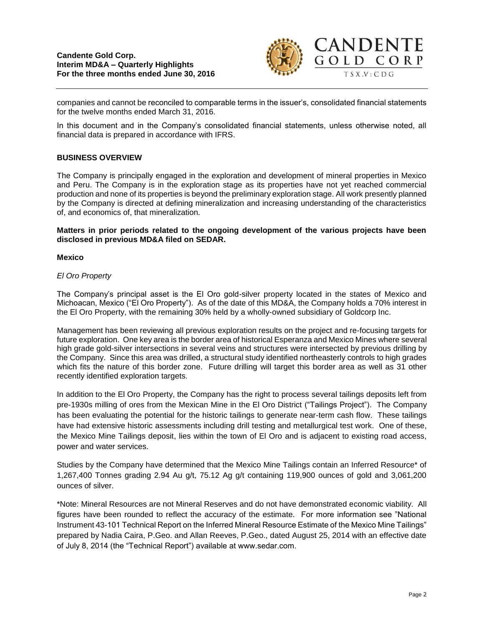

companies and cannot be reconciled to comparable terms in the issuer's, consolidated financial statements for the twelve months ended March 31, 2016.

In this document and in the Company's consolidated financial statements, unless otherwise noted, all financial data is prepared in accordance with IFRS.

## **BUSINESS OVERVIEW**

The Company is principally engaged in the exploration and development of mineral properties in Mexico and Peru. The Company is in the exploration stage as its properties have not yet reached commercial production and none of its properties is beyond the preliminary exploration stage. All work presently planned by the Company is directed at defining mineralization and increasing understanding of the characteristics of, and economics of, that mineralization.

**Matters in prior periods related to the ongoing development of the various projects have been disclosed in previous MD&A filed on SEDAR.** 

## **Mexico**

## *El Oro Property*

The Company's principal asset is the El Oro gold-silver property located in the states of Mexico and Michoacan, Mexico ("El Oro Property"). As of the date of this MD&A, the Company holds a 70% interest in the El Oro Property, with the remaining 30% held by a wholly-owned subsidiary of Goldcorp Inc.

Management has been reviewing all previous exploration results on the project and re-focusing targets for future exploration. One key area is the border area of historical Esperanza and Mexico Mines where several high grade gold-silver intersections in several veins and structures were intersected by previous drilling by the Company. Since this area was drilled, a structural study identified northeasterly controls to high grades which fits the nature of this border zone. Future drilling will target this border area as well as 31 other recently identified exploration targets.

In addition to the El Oro Property, the Company has the right to process several tailings deposits left from pre-1930s milling of ores from the Mexican Mine in the El Oro District ("Tailings Project"). The Company has been evaluating the potential for the historic tailings to generate near-term cash flow. These tailings have had extensive historic assessments including drill testing and metallurgical test work. One of these, the Mexico Mine Tailings deposit, lies within the town of El Oro and is adjacent to existing road access, power and water services.

Studies by the Company have determined that the Mexico Mine Tailings contain an Inferred Resource\* of 1,267,400 Tonnes grading 2.94 Au g/t, 75.12 Ag g/t containing 119,900 ounces of gold and 3,061,200 ounces of silver.

\*Note: Mineral Resources are not Mineral Reserves and do not have demonstrated economic viability. All figures have been rounded to reflect the accuracy of the estimate. For more information see "National Instrument 43-101 Technical Report on the Inferred Mineral Resource Estimate of the Mexico Mine Tailings" prepared by Nadia Caira, P.Geo. and Allan Reeves, P.Geo., dated August 25, 2014 with an effective date of July 8, 2014 (the "Technical Report") available at www.sedar.com.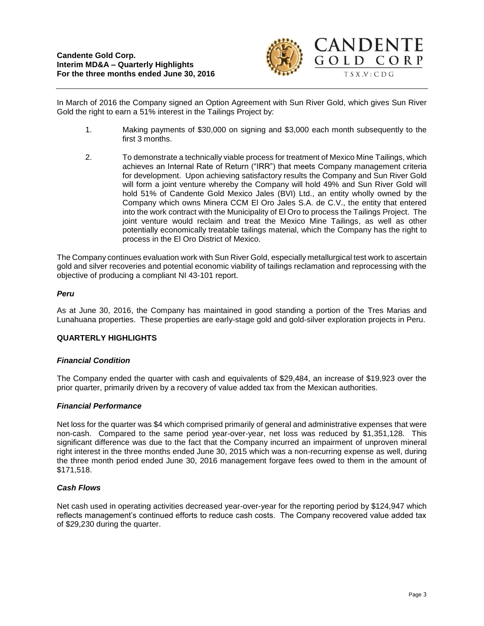

In March of 2016 the Company signed an Option Agreement with Sun River Gold, which gives Sun River Gold the right to earn a 51% interest in the Tailings Project by:

- 1. Making payments of \$30,000 on signing and \$3,000 each month subsequently to the first 3 months.
- 2. To demonstrate a technically viable process for treatment of Mexico Mine Tailings, which achieves an Internal Rate of Return ("IRR") that meets Company management criteria for development. Upon achieving satisfactory results the Company and Sun River Gold will form a joint venture whereby the Company will hold 49% and Sun River Gold will hold 51% of Candente Gold Mexico Jales (BVI) Ltd., an entity wholly owned by the Company which owns Minera CCM El Oro Jales S.A. de C.V., the entity that entered into the work contract with the Municipality of El Oro to process the Tailings Project. The joint venture would reclaim and treat the Mexico Mine Tailings, as well as other potentially economically treatable tailings material, which the Company has the right to process in the El Oro District of Mexico.

The Company continues evaluation work with Sun River Gold, especially metallurgical test work to ascertain gold and silver recoveries and potential economic viability of tailings reclamation and reprocessing with the objective of producing a compliant NI 43-101 report.

## *Peru*

As at June 30, 2016, the Company has maintained in good standing a portion of the Tres Marias and Lunahuana properties. These properties are early-stage gold and gold-silver exploration projects in Peru.

## **QUARTERLY HIGHLIGHTS**

## *Financial Condition*

The Company ended the quarter with cash and equivalents of \$29,484, an increase of \$19,923 over the prior quarter, primarily driven by a recovery of value added tax from the Mexican authorities.

## *Financial Performance*

Net loss for the quarter was \$4 which comprised primarily of general and administrative expenses that were non-cash. Compared to the same period year-over-year, net loss was reduced by \$1,351,128. This significant difference was due to the fact that the Company incurred an impairment of unproven mineral right interest in the three months ended June 30, 2015 which was a non-recurring expense as well, during the three month period ended June 30, 2016 management forgave fees owed to them in the amount of \$171,518.

## *Cash Flows*

Net cash used in operating activities decreased year-over-year for the reporting period by \$124,947 which reflects management's continued efforts to reduce cash costs. The Company recovered value added tax of \$29,230 during the quarter.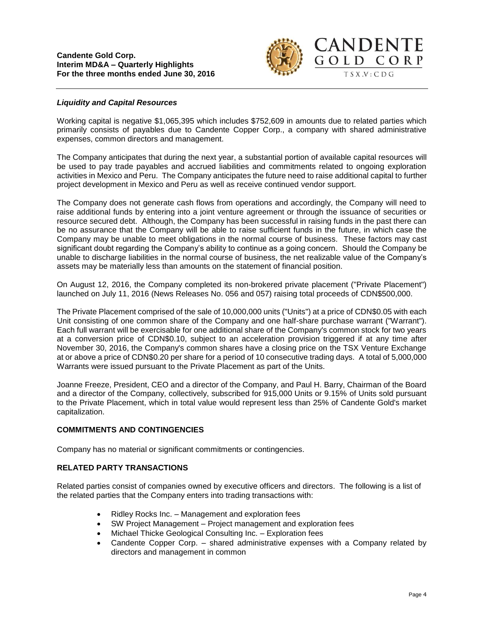

## *Liquidity and Capital Resources*

Working capital is negative \$1,065,395 which includes \$752,609 in amounts due to related parties which primarily consists of payables due to Candente Copper Corp., a company with shared administrative expenses, common directors and management.

The Company anticipates that during the next year, a substantial portion of available capital resources will be used to pay trade payables and accrued liabilities and commitments related to ongoing exploration activities in Mexico and Peru. The Company anticipates the future need to raise additional capital to further project development in Mexico and Peru as well as receive continued vendor support.

The Company does not generate cash flows from operations and accordingly, the Company will need to raise additional funds by entering into a joint venture agreement or through the issuance of securities or resource secured debt. Although, the Company has been successful in raising funds in the past there can be no assurance that the Company will be able to raise sufficient funds in the future, in which case the Company may be unable to meet obligations in the normal course of business. These factors may cast significant doubt regarding the Company's ability to continue as a going concern. Should the Company be unable to discharge liabilities in the normal course of business, the net realizable value of the Company's assets may be materially less than amounts on the statement of financial position.

On August 12, 2016, the Company completed its non-brokered private placement ("Private Placement") launched on July 11, 2016 (News Releases No. 056 and 057) raising total proceeds of CDN\$500,000.

The Private Placement comprised of the sale of 10,000,000 units ("Units") at a price of CDN\$0.05 with each Unit consisting of one common share of the Company and one half-share purchase warrant ("Warrant"). Each full warrant will be exercisable for one additional share of the Company's common stock for two years at a conversion price of CDN\$0.10, subject to an acceleration provision triggered if at any time after November 30, 2016, the Company's common shares have a closing price on the TSX Venture Exchange at or above a price of CDN\$0.20 per share for a period of 10 consecutive trading days. A total of 5,000,000 Warrants were issued pursuant to the Private Placement as part of the Units.

Joanne Freeze, President, CEO and a director of the Company, and Paul H. Barry, Chairman of the Board and a director of the Company, collectively, subscribed for 915,000 Units or 9.15% of Units sold pursuant to the Private Placement, which in total value would represent less than 25% of Candente Gold's market capitalization.

# **COMMITMENTS AND CONTINGENCIES**

Company has no material or significant commitments or contingencies.

## **RELATED PARTY TRANSACTIONS**

Related parties consist of companies owned by executive officers and directors. The following is a list of the related parties that the Company enters into trading transactions with:

- Ridley Rocks Inc. Management and exploration fees
- SW Project Management Project management and exploration fees
- Michael Thicke Geological Consulting Inc. Exploration fees
- Candente Copper Corp. shared administrative expenses with a Company related by directors and management in common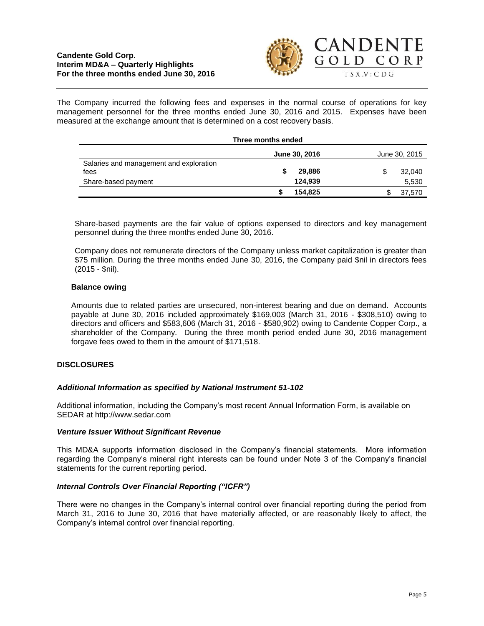## **Candente Gold Corp. Interim MD&A – Quarterly Highlights For the three months ended June 30, 2016**



The Company incurred the following fees and expenses in the normal course of operations for key management personnel for the three months ended June 30, 2016 and 2015. Expenses have been measured at the exchange amount that is determined on a cost recovery basis.

| Three months ended                              |               |         |               |        |
|-------------------------------------------------|---------------|---------|---------------|--------|
|                                                 | June 30, 2016 |         | June 30, 2015 |        |
| Salaries and management and exploration<br>fees |               | 29,886  |               | 32,040 |
| Share-based payment                             |               | 124.939 |               | 5,530  |
|                                                 |               | 154.825 |               | 37,570 |

Share-based payments are the fair value of options expensed to directors and key management personnel during the three months ended June 30, 2016.

Company does not remunerate directors of the Company unless market capitalization is greater than \$75 million. During the three months ended June 30, 2016, the Company paid \$nil in directors fees (2015 - \$nil).

## **Balance owing**

Amounts due to related parties are unsecured, non-interest bearing and due on demand. Accounts payable at June 30, 2016 included approximately \$169,003 (March 31, 2016 - \$308,510) owing to directors and officers and \$583,606 (March 31, 2016 - \$580,902) owing to Candente Copper Corp., a shareholder of the Company. During the three month period ended June 30, 2016 management forgave fees owed to them in the amount of \$171,518.

# **DISCLOSURES**

## *Additional Information as specified by National Instrument 51-102*

Additional information, including the Company's most recent Annual Information Form, is available on SEDAR at [http://www.sedar.com](http://www.sedar.com/)

## *Venture Issuer Without Significant Revenue*

This MD&A supports information disclosed in the Company's financial statements. More information regarding the Company's mineral right interests can be found under Note 3 of the Company's financial statements for the current reporting period.

## *Internal Controls Over Financial Reporting ("ICFR")*

There were no changes in the Company's internal control over financial reporting during the period from March 31, 2016 to June 30, 2016 that have materially affected, or are reasonably likely to affect, the Company's internal control over financial reporting.